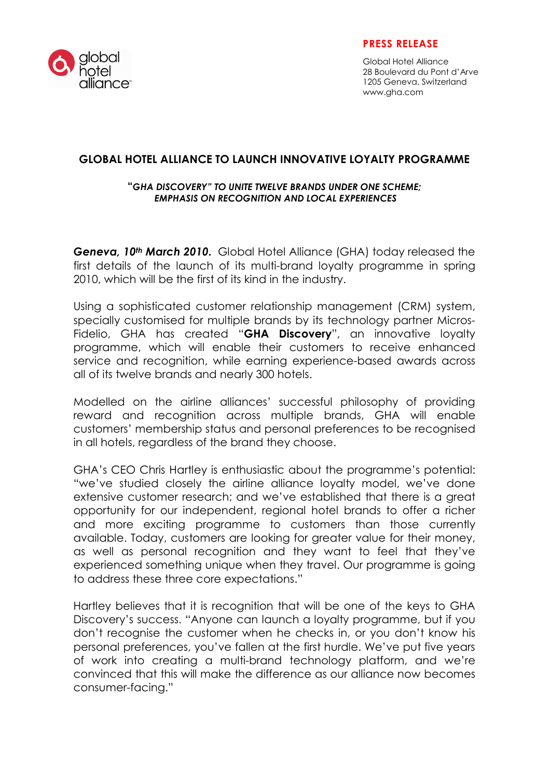

### PRESS RELEASE

Global Hotel Alliance 28 Boulevard du Pont d'Arve 1205 Geneva, Switzerland www.gha.com

# GLOBAL HOTEL ALLIANCE TO LAUNCH INNOVATIVE LOYALTY PROGRAMME

#### "GHA DISCOVERY" TO UNITE TWELVE BRANDS UNDER ONE SCHEME; EMPHASIS ON RECOGNITION AND LOCAL EXPERIENCES

Geneva, 10<sup>th</sup> March 2010. Global Hotel Alliance (GHA) today released the first details of the launch of its multi-brand loyalty programme in spring 2010, which will be the first of its kind in the industry.

Using a sophisticated customer relationship management (CRM) system, specially customised for multiple brands by its technology partner Micros-Fidelio, GHA has created "GHA Discovery", an innovative loyalty programme, which will enable their customers to receive enhanced service and recognition, while earning experience-based awards across all of its twelve brands and nearly 300 hotels.

Modelled on the airline alliances' successful philosophy of providing reward and recognition across multiple brands, GHA will enable customers' membership status and personal preferences to be recognised in all hotels, regardless of the brand they choose.

GHA's CEO Chris Hartley is enthusiastic about the programme's potential: "we've studied closely the airline alliance loyalty model, we've done extensive customer research; and we've established that there is a great opportunity for our independent, regional hotel brands to offer a richer and more exciting programme to customers than those currently available. Today, customers are looking for greater value for their money, as well as personal recognition and they want to feel that they've experienced something unique when they travel. Our programme is going to address these three core expectations."

Hartley believes that it is recognition that will be one of the keys to GHA Discovery's success. "Anyone can launch a loyalty programme, but if you don't recognise the customer when he checks in, or you don't know his personal preferences, you've fallen at the first hurdle. We've put five years of work into creating a multi-brand technology platform, and we're convinced that this will make the difference as our alliance now becomes consumer-facing."